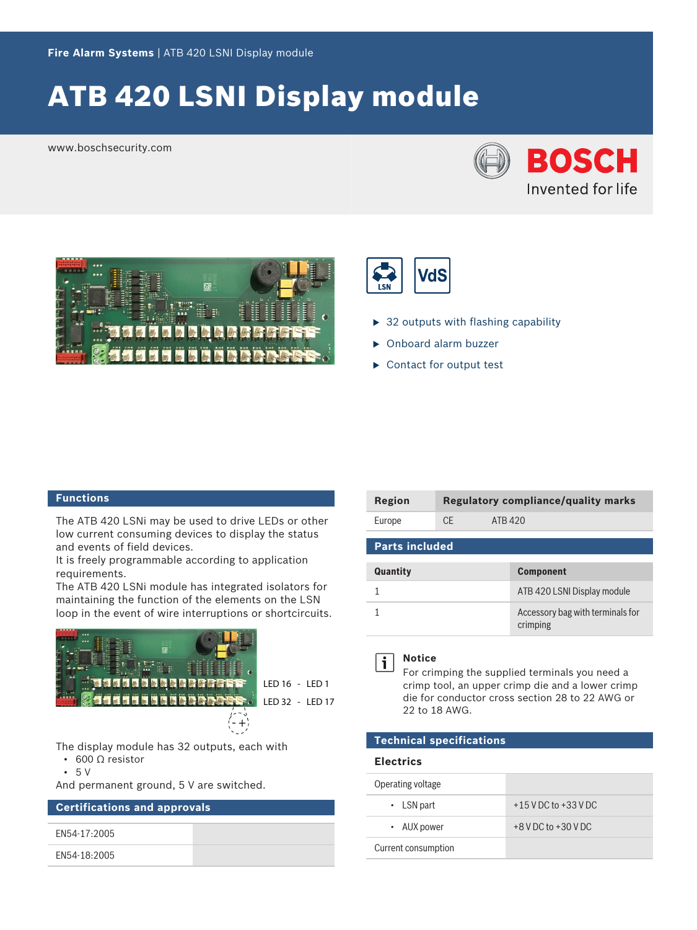# ATB 420 LSNI Display module

www.boschsecurity.com







- $\triangleright$  32 outputs with flashing capability
- $\triangleright$  Onboard alarm buzzer
- $\blacktriangleright$  Contact for output test

#### **Functions**

The ATB 420 LSNi may be used to drive LEDs or other low current consuming devices to display the status and events of field devices.

It is freely programmable according to application requirements.

The ATB 420 LSNi module has integrated isolators for maintaining the function of the elements on the LSN loop in the event of wire interruptions or shortcircuits.



LED 16 - LED 1

LED 32 - LED 17

The display module has 32 outputs, each with

- 600 Ω resistor
- 5 V

And permanent ground, 5 V are switched.

## **Certifications and approvals**

EN54-17:2005

EN54-18:2005

| Region |     | Regulatory compliance/quality marks |
|--------|-----|-------------------------------------|
| Europe | CE. | ATB 420                             |

| <b>Parts included</b> |                                              |  |
|-----------------------|----------------------------------------------|--|
| Quantity              | <b>Component</b>                             |  |
|                       | ATB 420 LSNI Display module                  |  |
|                       | Accessory bag with terminals for<br>crimping |  |



# **Notice**

For crimping the supplied terminals you need a crimp tool, an upper crimp die and a lower crimp die for conductor cross section 28 to 22 AWG or 22 to 18 AWG.

## **Technical specifications**

#### **Electrics**

| Operating voltage   |                          |
|---------------------|--------------------------|
| $\cdot$ LSN part    | $+15$ V DC to $+33$ V DC |
| • AUX power         | $+8$ V DC to $+30$ V DC  |
| Current consumption |                          |